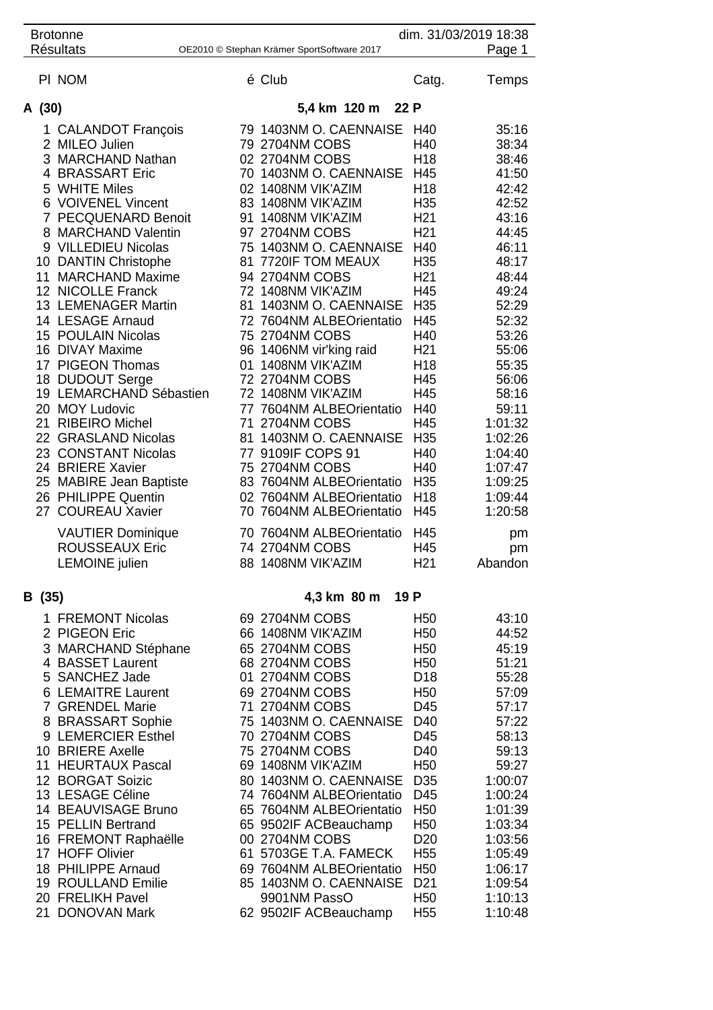| <b>Brotonne</b><br><b>Résultats</b> |                                                                                                                                                                                                                                                                                                                                                                                                                                                                                                                                                                                                                                                             |                     | OE2010 © Stephan Krämer SportSoftware 2017                                                                                                                                                                                                                                                                                                                                                                                                                                                                                                                                                                                                                                          | dim. 31/03/2019 18:38                                                                                                                                                                                                                                                                                                                                               | Page 1                                                                                                                                                                                                                                                                    |
|-------------------------------------|-------------------------------------------------------------------------------------------------------------------------------------------------------------------------------------------------------------------------------------------------------------------------------------------------------------------------------------------------------------------------------------------------------------------------------------------------------------------------------------------------------------------------------------------------------------------------------------------------------------------------------------------------------------|---------------------|-------------------------------------------------------------------------------------------------------------------------------------------------------------------------------------------------------------------------------------------------------------------------------------------------------------------------------------------------------------------------------------------------------------------------------------------------------------------------------------------------------------------------------------------------------------------------------------------------------------------------------------------------------------------------------------|---------------------------------------------------------------------------------------------------------------------------------------------------------------------------------------------------------------------------------------------------------------------------------------------------------------------------------------------------------------------|---------------------------------------------------------------------------------------------------------------------------------------------------------------------------------------------------------------------------------------------------------------------------|
| PI NOM                              |                                                                                                                                                                                                                                                                                                                                                                                                                                                                                                                                                                                                                                                             |                     | é Club                                                                                                                                                                                                                                                                                                                                                                                                                                                                                                                                                                                                                                                                              | Catg.                                                                                                                                                                                                                                                                                                                                                               | Temps                                                                                                                                                                                                                                                                     |
| A (30)                              |                                                                                                                                                                                                                                                                                                                                                                                                                                                                                                                                                                                                                                                             |                     | 5,4 km 120 m 22 P                                                                                                                                                                                                                                                                                                                                                                                                                                                                                                                                                                                                                                                                   |                                                                                                                                                                                                                                                                                                                                                                     |                                                                                                                                                                                                                                                                           |
| 21                                  | 1 CALANDOT François<br>2 MILEO Julien<br>3 MARCHAND Nathan<br>4 BRASSART Eric<br>5 WHITE Miles<br>6 VOIVENEL Vincent<br>7 PECQUENARD Benoit<br>8 MARCHAND Valentin<br>9 VILLEDIEU Nicolas<br>10 DANTIN Christophe<br>11 MARCHAND Maxime<br>12 NICOLLE Franck<br>13 LEMENAGER Martin<br>14 LESAGE Arnaud<br>15 POULAIN Nicolas<br>16 DIVAY Maxime<br>17 PIGEON Thomas<br>18 DUDOUT Serge<br>19 LEMARCHAND Sébastien<br>20 MOY Ludovic<br><b>RIBEIRO Michel</b><br>22 GRASLAND Nicolas<br>23 CONSTANT Nicolas<br>24 BRIERE Xavier<br>25 MABIRE Jean Baptiste<br>26 PHILIPPE Quentin<br>27 COUREAU Xavier<br><b>VAUTIER Dominique</b><br><b>ROUSSEAUX Eric</b> |                     | 79 1403NM O. CAENNAISE<br>79 2704NM COBS<br>02 2704NM COBS<br>70 1403NM O. CAENNAISE<br>02 1408NM VIK'AZIM<br>83 1408NM VIK'AZIM<br>91 1408NM VIK'AZIM<br>97 2704NM COBS<br>75 1403NM O. CAENNAISE<br>81 7720IF TOM MEAUX<br>94 2704NM COBS<br>72 1408NM VIK'AZIM<br>81 1403NM O. CAENNAISE<br>72 7604NM ALBEOrientatio<br>75 2704NM COBS<br>96 1406NM vir'king raid<br>01 1408NM VIK'AZIM<br>72 2704NM COBS<br>72 1408NM VIK'AZIM<br>77 7604NM ALBEOrientatio<br>71 2704NM COBS<br>81 1403NM O. CAENNAISE<br>77 9109IF COPS 91<br>75 2704NM COBS<br>83 7604NM ALBEOrientatio<br>02 7604NM ALBEOrientatio<br>70 7604NM ALBEOrientatio<br>70 7604NM ALBEOrientatio<br>74 2704NM COBS | H40<br>H40<br>H <sub>18</sub><br>H45<br>H <sub>18</sub><br>H <sub>35</sub><br>H <sub>21</sub><br>H <sub>21</sub><br>H40<br>H <sub>35</sub><br>H <sub>21</sub><br>H45<br>H <sub>35</sub><br>H45<br>H40<br>H <sub>21</sub><br>H <sub>18</sub><br>H45<br>H45<br>H40<br>H45<br>H <sub>35</sub><br>H40<br>H40<br>H <sub>35</sub><br>H <sub>18</sub><br>H45<br>H45<br>H45 | 35:16<br>38:34<br>38:46<br>41:50<br>42:42<br>42:52<br>43:16<br>44:45<br>46:11<br>48:17<br>48:44<br>49:24<br>52:29<br>52:32<br>53:26<br>55:06<br>55:35<br>56:06<br>58:16<br>59:11<br>1:01:32<br>1:02:26<br>1:04:40<br>1:07:47<br>1:09:25<br>1:09:44<br>1:20:58<br>pm<br>pm |
|                                     | <b>LEMOINE</b> julien                                                                                                                                                                                                                                                                                                                                                                                                                                                                                                                                                                                                                                       |                     | 88 1408NM VIK'AZIM                                                                                                                                                                                                                                                                                                                                                                                                                                                                                                                                                                                                                                                                  | H <sub>21</sub>                                                                                                                                                                                                                                                                                                                                                     | Abandon                                                                                                                                                                                                                                                                   |
| B (35)                              |                                                                                                                                                                                                                                                                                                                                                                                                                                                                                                                                                                                                                                                             | 19 P<br>4,3 km 80 m |                                                                                                                                                                                                                                                                                                                                                                                                                                                                                                                                                                                                                                                                                     |                                                                                                                                                                                                                                                                                                                                                                     |                                                                                                                                                                                                                                                                           |
|                                     | 1 FREMONT Nicolas<br>2 PIGEON Eric<br>3 MARCHAND Stéphane<br>4 BASSET Laurent<br>5 SANCHEZ Jade<br>6 LEMAITRE Laurent<br>7 GRENDEL Marie<br>8 BRASSART Sophie<br>9 LEMERCIER Esthel<br>10 BRIERE Axelle<br>11 HEURTAUX Pascal<br>12 BORGAT Soizic<br>13 LESAGE Céline<br>14 BEAUVISAGE Bruno<br>15 PELLIN Bertrand<br>16 FREMONT Raphaëlle<br>17 HOFF Olivier<br>18 PHILIPPE Arnaud<br>19 ROULLAND Emilie<br>20 FRELIKH Pavel<br>21 DONOVAN Mark                                                                                                                                                                                                            |                     | 69 2704NM COBS<br>66 1408NM VIK'AZIM<br>65 2704NM COBS<br>68 2704NM COBS<br>01 2704NM COBS<br>69 2704NM COBS<br>71 2704NM COBS<br>75 1403NM O. CAENNAISE D40<br>70 2704NM COBS<br>75 2704NM COBS<br>69 1408NM VIK'AZIM<br>80 1403NM O. CAENNAISE D35<br>74 7604NM ALBEOrientatio<br>65 7604NM ALBEOrientatio<br>65 9502IF ACBeauchamp<br>00 2704NM COBS<br>61 5703GE T.A. FAMECK<br>69 7604NM ALBEOrientatio<br>85 1403NM O. CAENNAISE<br>9901NM PassO<br>62 9502IF ACBeauchamp                                                                                                                                                                                                     | H <sub>50</sub><br>H <sub>50</sub><br>H <sub>50</sub><br>H <sub>50</sub><br>D <sub>18</sub><br>H <sub>50</sub><br>D45<br>D45<br>D40<br>H <sub>50</sub><br>D45<br>H <sub>50</sub><br>H <sub>50</sub><br>D <sub>20</sub><br>H <sub>55</sub><br>H <sub>50</sub><br>D <sub>21</sub><br>H <sub>50</sub><br>H <sub>55</sub>                                               | 43:10<br>44:52<br>45:19<br>51:21<br>55:28<br>57:09<br>57:17<br>57:22<br>58:13<br>59:13<br>59:27<br>1:00:07<br>1:00:24<br>1:01:39<br>1:03:34<br>1:03:56<br>1:05:49<br>1:06:17<br>1:09:54<br>1:10:13<br>1:10:48                                                             |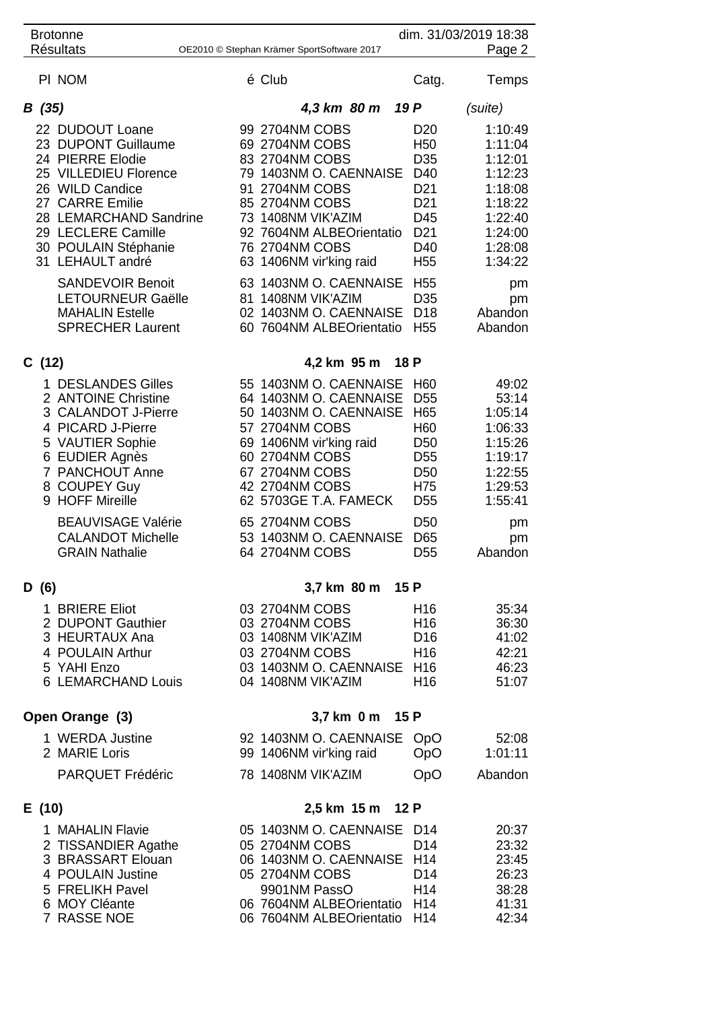| <b>Brotonne</b><br><b>Résultats</b>                                                                                                                                                                                   | OE2010 © Stephan Krämer SportSoftware 2017                                                                                                                                                                      |                  |                                                                                                                                                        | dim. 31/03/2019 18:38<br>Page 2                                                                            |  |  |
|-----------------------------------------------------------------------------------------------------------------------------------------------------------------------------------------------------------------------|-----------------------------------------------------------------------------------------------------------------------------------------------------------------------------------------------------------------|------------------|--------------------------------------------------------------------------------------------------------------------------------------------------------|------------------------------------------------------------------------------------------------------------|--|--|
| PI NOM                                                                                                                                                                                                                | é Club                                                                                                                                                                                                          |                  | Catg.                                                                                                                                                  | Temps                                                                                                      |  |  |
| B(35)                                                                                                                                                                                                                 |                                                                                                                                                                                                                 | 4,3 km 80 m 19 P |                                                                                                                                                        | (suite)                                                                                                    |  |  |
| 22 DUDOUT Loane<br>23 DUPONT Guillaume<br>24 PIERRE Elodie<br>25 VILLEDIEU Florence<br>26 WILD Candice<br>27 CARRE Emilie<br>28 LEMARCHAND Sandrine<br>29 LECLERE Camille<br>30 POULAIN Stéphanie<br>31 LEHAULT andré | 99 2704NM COBS<br>69 2704NM COBS<br>83 2704NM COBS<br>79 1403NM O. CAENNAISE<br>91 2704NM COBS<br>85 2704NM COBS<br>73 1408NM VIK'AZIM<br>92 7604NM ALBEOrientatio<br>76 2704NM COBS<br>63 1406NM vir'king raid |                  | D <sub>20</sub><br>H <sub>50</sub><br>D <sub>35</sub><br>D40<br>D <sub>21</sub><br>D <sub>21</sub><br>D45<br>D <sub>21</sub><br>D40<br>H <sub>55</sub> | 1:10:49<br>1:11:04<br>1:12:01<br>1:12:23<br>1:18:08<br>1:18:22<br>1:22:40<br>1:24:00<br>1:28:08<br>1:34:22 |  |  |
| <b>SANDEVOIR Benoit</b><br><b>LETOURNEUR Gaëlle</b><br><b>MAHALIN Estelle</b><br><b>SPRECHER Laurent</b>                                                                                                              | 63 1403NM O. CAENNAISE<br>81 1408NM VIK'AZIM<br>02 1403NM O. CAENNAISE<br>60 7604NM ALBEOrientatio                                                                                                              |                  | H <sub>55</sub><br>D <sub>35</sub><br>D <sub>18</sub><br>H <sub>55</sub>                                                                               | pm<br>pm<br>Abandon<br>Abandon                                                                             |  |  |
| C(12)                                                                                                                                                                                                                 |                                                                                                                                                                                                                 | 4,2 km 95 m 18 P |                                                                                                                                                        |                                                                                                            |  |  |
| 1 DESLANDES Gilles<br>2 ANTOINE Christine<br>3 CALANDOT J-Pierre<br>4 PICARD J-Pierre<br>5 VAUTIER Sophie<br>6 EUDIER Agnès<br>7 PANCHOUT Anne<br>8 COUPEY Guy<br>9 HOFF Mireille                                     | 55 1403NM O. CAENNAISE<br>64 1403NM O. CAENNAISE<br>50 1403NM O. CAENNAISE<br>57 2704NM COBS<br>69 1406NM vir'king raid<br>60 2704NM COBS<br>67 2704NM COBS<br>42 2704NM COBS<br>62 5703GE T.A. FAMECK          |                  | H <sub>60</sub><br>D <sub>55</sub><br>H65<br>H <sub>60</sub><br>D <sub>50</sub><br>D <sub>55</sub><br>D <sub>50</sub><br>H75<br>D <sub>55</sub>        | 49:02<br>53:14<br>1:05:14<br>1:06:33<br>1:15:26<br>1:19:17<br>1:22:55<br>1:29:53<br>1:55:41                |  |  |
| <b>BEAUVISAGE Valérie</b><br><b>CALANDOT Michelle</b><br><b>GRAIN Nathalie</b>                                                                                                                                        | 65 2704NM COBS<br>53 1403NM O. CAENNAISE<br>64 2704NM COBS                                                                                                                                                      |                  | D <sub>50</sub><br>D65<br>D <sub>55</sub>                                                                                                              | pm<br>pm<br>Abandon                                                                                        |  |  |
| D(6)                                                                                                                                                                                                                  |                                                                                                                                                                                                                 | 3,7 km 80 m 15 P |                                                                                                                                                        |                                                                                                            |  |  |
| 1 BRIERE Eliot<br>2 DUPONT Gauthier<br>3 HEURTAUX Ana<br>4 POULAIN Arthur<br>5 YAHI Enzo<br>6 LEMARCHAND Louis                                                                                                        | 03 2704NM COBS<br>03 2704NM COBS<br>03 1408NM VIK'AZIM<br>03 2704NM COBS<br>03 1403NM O. CAENNAISE<br>04 1408NM VIK'AZIM                                                                                        |                  | H <sub>16</sub><br>H <sub>16</sub><br>D <sub>16</sub><br>H <sub>16</sub><br>H <sub>16</sub><br>H <sub>16</sub>                                         | 35:34<br>36:30<br>41:02<br>42:21<br>46:23<br>51:07                                                         |  |  |
| Open Orange (3)                                                                                                                                                                                                       | 3,7 km 0 m 15 P                                                                                                                                                                                                 |                  |                                                                                                                                                        |                                                                                                            |  |  |
| 1 WERDA Justine<br>2 MARIE Loris                                                                                                                                                                                      | 92 1403NM O. CAENNAISE<br>99 1406NM vir'king raid                                                                                                                                                               |                  | <b>OpO</b><br>OpO                                                                                                                                      | 52:08<br>1:01:11                                                                                           |  |  |
| <b>PARQUET Frédéric</b>                                                                                                                                                                                               | 78 1408NM VIK'AZIM                                                                                                                                                                                              |                  | <b>OpO</b>                                                                                                                                             | Abandon                                                                                                    |  |  |
| E(10)<br>1 MAHALIN Flavie<br>2 TISSANDIER Agathe<br>3 BRASSART Elouan<br>4 POULAIN Justine<br>5 FRELIKH Pavel<br>6 MOY Cléante<br>7 RASSE NOE                                                                         | 05 1403NM O. CAENNAISE<br>05 2704NM COBS<br>06 1403NM O. CAENNAISE<br>05 2704NM COBS<br>9901NM PassO<br>06 7604NM ALBEOrientatio H14<br>06 7604NM ALBEOrientatio                                                | 2,5 km 15 m 12 P | D <sub>14</sub><br>D <sub>14</sub><br>H <sub>14</sub><br>D <sub>14</sub><br>H <sub>14</sub><br>H <sub>14</sub>                                         | 20:37<br>23:32<br>23:45<br>26:23<br>38:28<br>41:31<br>42:34                                                |  |  |